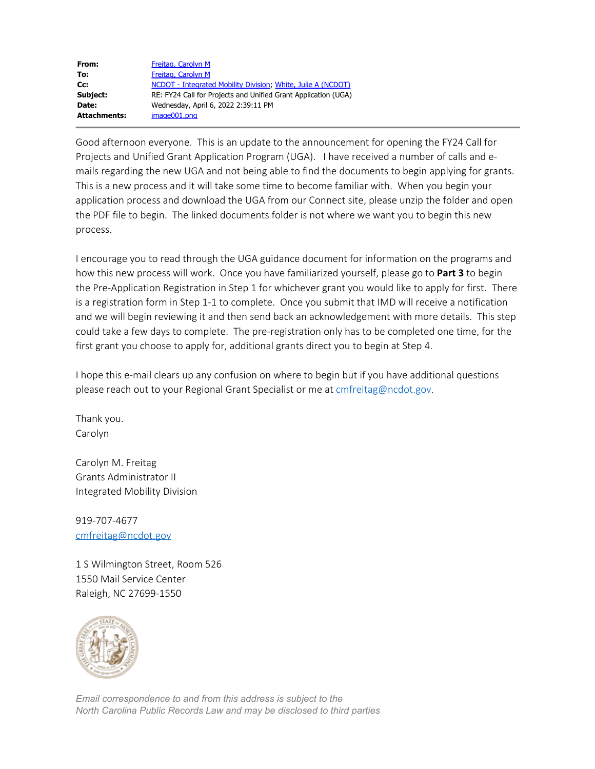| From:               | Freitag, Carolyn M                                             |
|---------------------|----------------------------------------------------------------|
| To:                 | Freitag, Carolyn M                                             |
| Cc:                 | NCDOT - Integrated Mobility Division: White, Julie A (NCDOT)   |
| Subject:            | RE: FY24 Call for Projects and Unified Grant Application (UGA) |
| Date:               | Wednesday, April 6, 2022 2:39:11 PM                            |
| <b>Attachments:</b> | image001.png                                                   |

Good afternoon everyone. This is an update to the announcement for opening the FY24 Call for Projects and Unified Grant Application Program (UGA). I have received a number of calls and emails regarding the new UGA and not being able to find the documents to begin applying for grants. This is a new process and it will take some time to become familiar with. When you begin your application process and download the UGA from our Connect site, please unzip the folder and open the PDF file to begin. The linked documents folder is not where we want you to begin this new process.

I encourage you to read through the UGA guidance document for information on the programs and how this new process will work. Once you have familiarized yourself, please go to **Part 3** to begin the Pre-Application Registration in Step 1 for whichever grant you would like to apply for first. There is a registration form in Step 1-1 to complete. Once you submit that IMD will receive a notification and we will begin reviewing it and then send back an acknowledgement with more details. This step could take a few days to complete. The pre-registration only has to be completed one time, for the first grant you choose to apply for, additional grants direct you to begin at Step 4.

I hope this e-mail clears up any confusion on where to begin but if you have additional questions please reach out to your Regional Grant Specialist or me at [cmfreitag@ncdot.gov.](mailto:cmfreitag@ncdot.gov)

Thank you. Carolyn

Carolyn M. Freitag Grants Administrator II Integrated Mobility Division

919-707-4677 [cmfreitag@ncdot.gov](mailto:cmfreitag@ncdot.gov)

1 S Wilmington Street, Room 526 1550 Mail Service Center Raleigh, NC 27699-1550



*Email correspondence to and from this address is subject to the North Carolina Public Records Law and may be disclosed to third parties*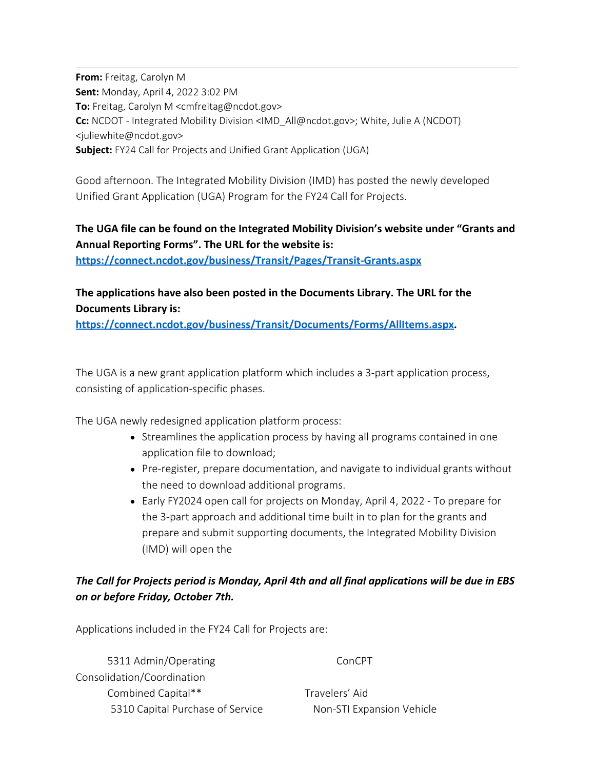**From:** Freitag, Carolyn M **Sent:** Monday, April 4, 2022 3:02 PM **To:** Freitag, Carolyn M <cmfreitag@ncdot.gov> **Cc:** NCDOT - Integrated Mobility Division <IMD\_All@ncdot.gov>; White, Julie A (NCDOT) <juliewhite@ncdot.gov> **Subject:** FY24 Call for Projects and Unified Grant Application (UGA)

Good afternoon. The Integrated Mobility Division (IMD) has posted the newly developed Unified Grant Application (UGA) Program for the FY24 Call for Projects.

## **The UGA file can be found on the Integrated Mobility Division's website under "Grants and Annual Reporting Forms". The URL for the website is:**

**<https://connect.ncdot.gov/business/Transit/Pages/Transit-Grants.aspx>**

## **The applications have also been posted in the Documents Library. The URL for the Documents Library is:**

**<https://connect.ncdot.gov/business/Transit/Documents/Forms/AllItems.aspx>.** 

The UGA is a new grant application platform which includes a 3-part application process, consisting of application-specific phases.

The UGA newly redesigned application platform process:

- Streamlines the application process by having all programs contained in one application file to download;
- Pre-register, prepare documentation, and navigate to individual grants without the need to download additional programs.
- Early FY2024 open call for projects on Monday, April 4, 2022 To prepare for the 3-part approach and additional time built in to plan for the grants and prepare and submit supporting documents, the Integrated Mobility Division (IMD) will open the

## *The Call for Projects period is Monday, April 4th and all final applications will be due in EBS on or before Friday, October 7th.*

Applications included in the FY24 Call for Projects are:

5311 Admin/Operating ConCPT Consolidation/Coordination Combined Capital\*\* Travelers' Aid 5310 Capital Purchase of Service Non-STI Expansion Vehicle